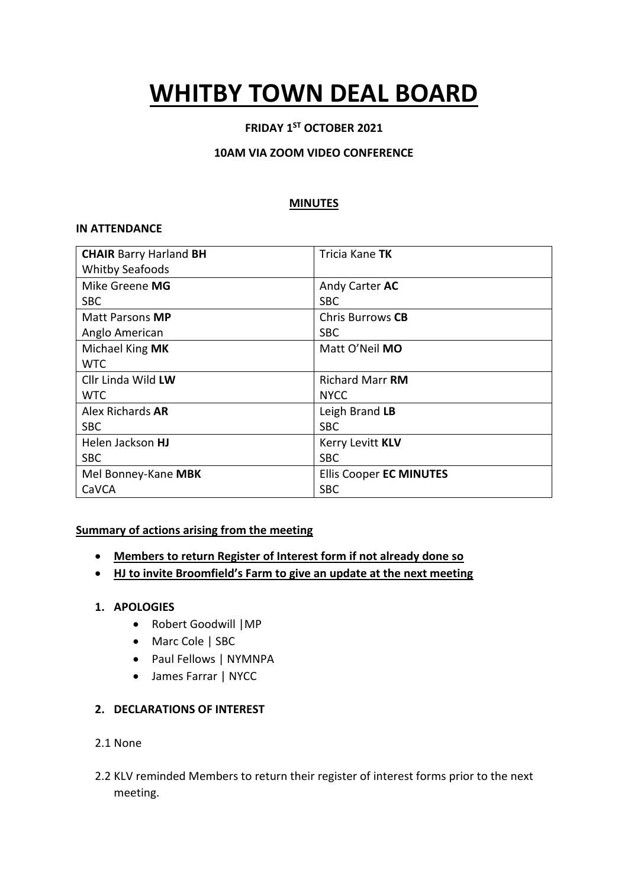# **WHITBY TOWN DEAL BOARD**

# **FRIDAY 1ST OCTOBER 2021**

## **10AM VIA ZOOM VIDEO CONFERENCE**

## **MINUTES**

## **IN ATTENDANCE**

| <b>CHAIR Barry Harland BH</b> | Tricia Kane TK                 |
|-------------------------------|--------------------------------|
| <b>Whitby Seafoods</b>        |                                |
| Mike Greene MG                | Andy Carter AC                 |
| <b>SBC</b>                    | <b>SBC</b>                     |
| Matt Parsons MP               | <b>Chris Burrows CB</b>        |
| Anglo American                | <b>SBC</b>                     |
| Michael King MK               | Matt O'Neil MO                 |
| <b>WTC</b>                    |                                |
| Cllr Linda Wild LW            | <b>Richard Marr RM</b>         |
| <b>WTC</b>                    | <b>NYCC</b>                    |
| Alex Richards <b>AR</b>       | Leigh Brand LB                 |
| <b>SBC</b>                    | <b>SBC</b>                     |
| Helen Jackson <b>HJ</b>       | Kerry Levitt KLV               |
| <b>SBC</b>                    | <b>SBC</b>                     |
| Mel Bonney-Kane MBK           | <b>Ellis Cooper EC MINUTES</b> |
| CaVCA                         | <b>SBC</b>                     |

## **Summary of actions arising from the meeting**

- **Members to return Register of Interest form if not already done so**
- **HJ to invite Broomfield's Farm to give an update at the next meeting**

## **1. APOLOGIES**

- Robert Goodwill |MP
- Marc Cole | SBC
- Paul Fellows | NYMNPA
- James Farrar | NYCC

## **2. DECLARATIONS OF INTEREST**

- 2.1 None
- 2.2 KLV reminded Members to return their register of interest forms prior to the next meeting.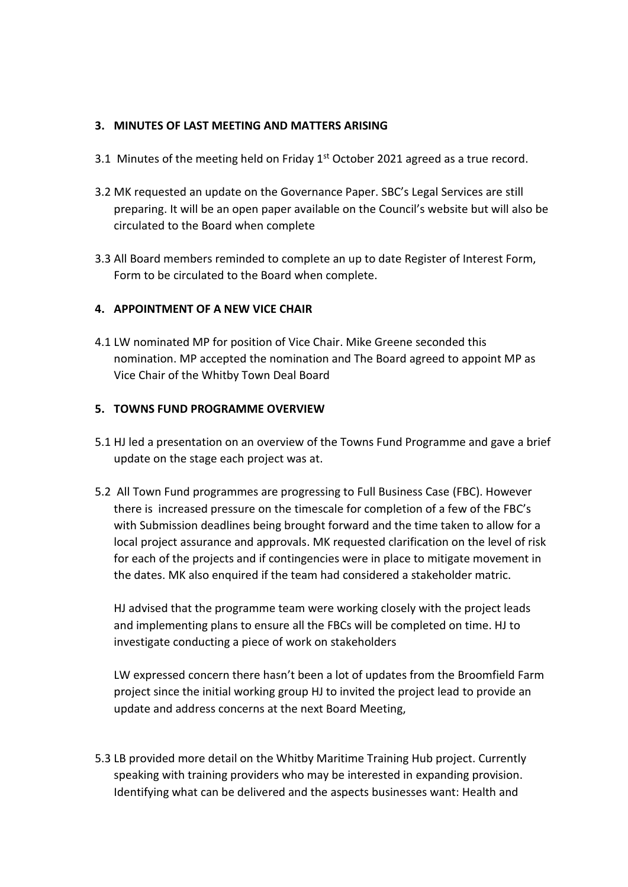## **3. MINUTES OF LAST MEETING AND MATTERS ARISING**

- 3.1 Minutes of the meeting held on Friday  $1<sup>st</sup>$  October 2021 agreed as a true record.
- 3.2 MK requested an update on the Governance Paper. SBC's Legal Services are still preparing. It will be an open paper available on the Council's website but will also be circulated to the Board when complete
- 3.3 All Board members reminded to complete an up to date Register of Interest Form, Form to be circulated to the Board when complete.

## **4. APPOINTMENT OF A NEW VICE CHAIR**

4.1 LW nominated MP for position of Vice Chair. Mike Greene seconded this nomination. MP accepted the nomination and The Board agreed to appoint MP as Vice Chair of the Whitby Town Deal Board

## **5. TOWNS FUND PROGRAMME OVERVIEW**

- 5.1 HJ led a presentation on an overview of the Towns Fund Programme and gave a brief update on the stage each project was at.
- 5.2 All Town Fund programmes are progressing to Full Business Case (FBC). However there is increased pressure on the timescale for completion of a few of the FBC's with Submission deadlines being brought forward and the time taken to allow for a local project assurance and approvals. MK requested clarification on the level of risk for each of the projects and if contingencies were in place to mitigate movement in the dates. MK also enquired if the team had considered a stakeholder matric.

HJ advised that the programme team were working closely with the project leads and implementing plans to ensure all the FBCs will be completed on time. HJ to investigate conducting a piece of work on stakeholders

LW expressed concern there hasn't been a lot of updates from the Broomfield Farm project since the initial working group HJ to invited the project lead to provide an update and address concerns at the next Board Meeting,

5.3 LB provided more detail on the Whitby Maritime Training Hub project. Currently speaking with training providers who may be interested in expanding provision. Identifying what can be delivered and the aspects businesses want: Health and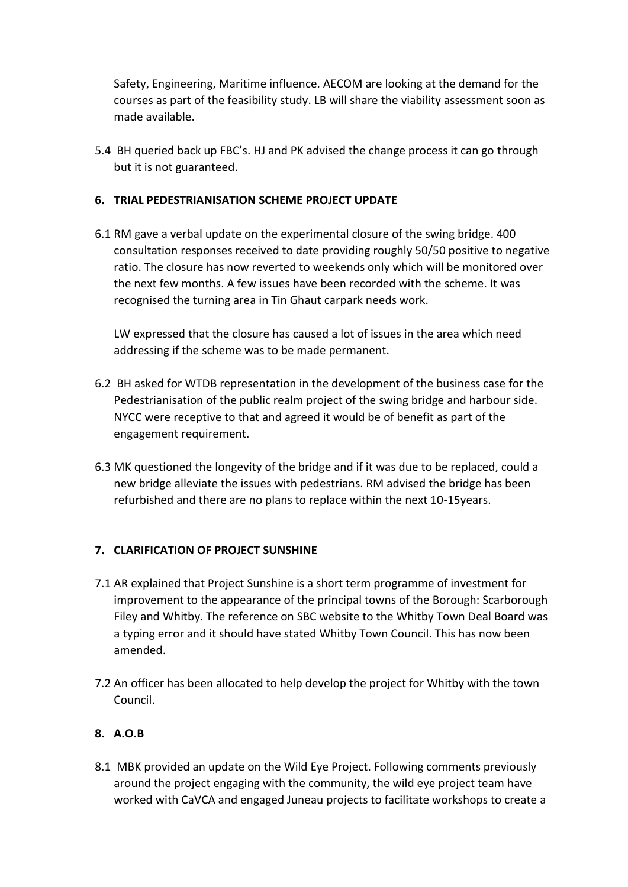Safety, Engineering, Maritime influence. AECOM are looking at the demand for the courses as part of the feasibility study. LB will share the viability assessment soon as made available.

5.4 BH queried back up FBC's. HJ and PK advised the change process it can go through but it is not guaranteed.

# **6. TRIAL PEDESTRIANISATION SCHEME PROJECT UPDATE**

6.1 RM gave a verbal update on the experimental closure of the swing bridge. 400 consultation responses received to date providing roughly 50/50 positive to negative ratio. The closure has now reverted to weekends only which will be monitored over the next few months. A few issues have been recorded with the scheme. It was recognised the turning area in Tin Ghaut carpark needs work.

LW expressed that the closure has caused a lot of issues in the area which need addressing if the scheme was to be made permanent.

- 6.2 BH asked for WTDB representation in the development of the business case for the Pedestrianisation of the public realm project of the swing bridge and harbour side. NYCC were receptive to that and agreed it would be of benefit as part of the engagement requirement.
- 6.3 MK questioned the longevity of the bridge and if it was due to be replaced, could a new bridge alleviate the issues with pedestrians. RM advised the bridge has been refurbished and there are no plans to replace within the next 10-15years.

# **7. CLARIFICATION OF PROJECT SUNSHINE**

- 7.1 AR explained that Project Sunshine is a short term programme of investment for improvement to the appearance of the principal towns of the Borough: Scarborough Filey and Whitby. The reference on SBC website to the Whitby Town Deal Board was a typing error and it should have stated Whitby Town Council. This has now been amended.
- 7.2 An officer has been allocated to help develop the project for Whitby with the town Council.

# **8. A.O.B**

8.1 MBK provided an update on the Wild Eye Project. Following comments previously around the project engaging with the community, the wild eye project team have worked with CaVCA and engaged Juneau projects to facilitate workshops to create a